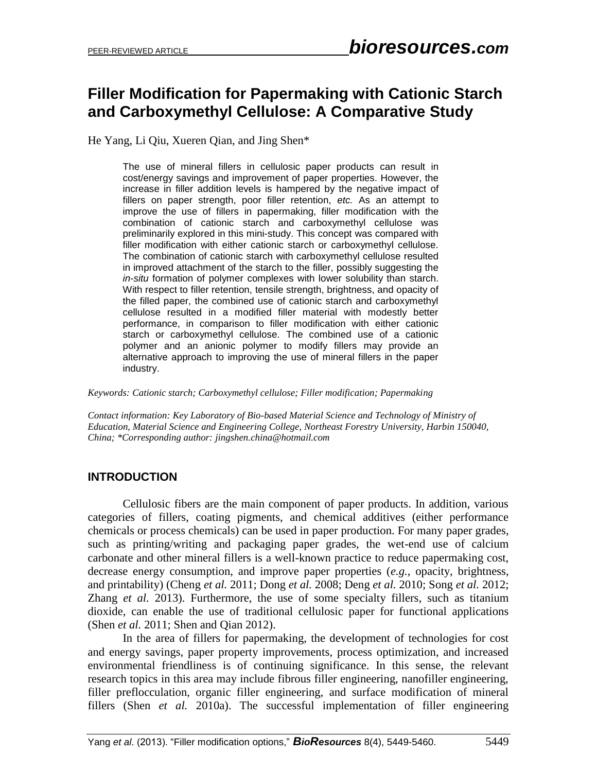# **Filler Modification for Papermaking with Cationic Starch and Carboxymethyl Cellulose: A Comparative Study**

He Yang, Li Qiu, Xueren Qian, and Jing Shen\*

The use of mineral fillers in cellulosic paper products can result in cost/energy savings and improvement of paper properties. However, the increase in filler addition levels is hampered by the negative impact of fillers on paper strength, poor filler retention, *etc.* As an attempt to improve the use of fillers in papermaking, filler modification with the combination of cationic starch and carboxymethyl cellulose was preliminarily explored in this mini-study. This concept was compared with filler modification with either cationic starch or carboxymethyl cellulose. The combination of cationic starch with carboxymethyl cellulose resulted in improved attachment of the starch to the filler, possibly suggesting the *in-situ* formation of polymer complexes with lower solubility than starch. With respect to filler retention, tensile strength, brightness, and opacity of the filled paper, the combined use of cationic starch and carboxymethyl cellulose resulted in a modified filler material with modestly better performance, in comparison to filler modification with either cationic starch or carboxymethyl cellulose. The combined use of a cationic polymer and an anionic polymer to modify fillers may provide an alternative approach to improving the use of mineral fillers in the paper industry.

*Keywords: Cationic starch; Carboxymethyl cellulose; Filler modification; Papermaking*

*Contact information: Key Laboratory of Bio-based Material Science and Technology of Ministry of Education, Material Science and Engineering College, Northeast Forestry University, Harbin 150040, China; \*Corresponding author: jingshen.china@hotmail.com* 

# **INTRODUCTION**

Cellulosic fibers are the main component of paper products. In addition, various categories of fillers, coating pigments, and chemical additives (either performance chemicals or process chemicals) can be used in paper production. For many paper grades, such as printing/writing and packaging paper grades, the wet-end use of calcium carbonate and other mineral fillers is a well-known practice to reduce papermaking cost, decrease energy consumption, and improve paper properties (*e.g.*, opacity, brightness, and printability) (Cheng *et al.* 2011; Dong *et al.* 2008; Deng *et al.* 2010; Song *et al.* 2012; Zhang *et al.* 2013). Furthermore, the use of some specialty fillers, such as titanium dioxide, can enable the use of traditional cellulosic paper for functional applications (Shen *et al.* 2011; Shen and Qian 2012).

In the area of fillers for papermaking, the development of technologies for cost and energy savings, paper property improvements, process optimization, and increased environmental friendliness is of continuing significance. In this sense, the relevant research topics in this area may include fibrous filler engineering, nanofiller engineering, filler preflocculation, organic filler engineering, and surface modification of mineral fillers (Shen *et al.* 2010a). The successful implementation of filler engineering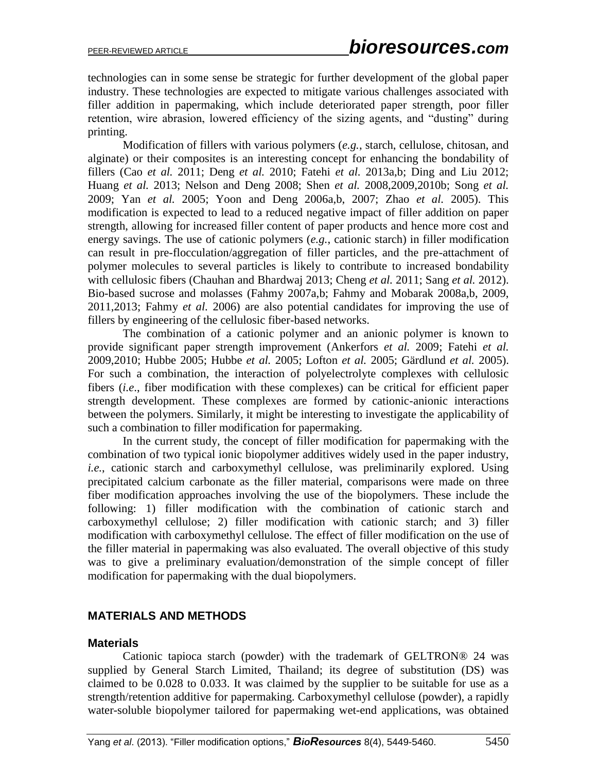technologies can in some sense be strategic for further development of the global paper industry. These technologies are expected to mitigate various challenges associated with filler addition in papermaking, which include deteriorated paper strength, poor filler retention, wire abrasion, lowered efficiency of the sizing agents, and "dusting" during printing.

Modification of fillers with various polymers (*e.g.*, starch, cellulose, chitosan, and alginate) or their composites is an interesting concept for enhancing the bondability of fillers (Cao *et al.* 2011; Deng *et al.* 2010; Fatehi *et al.* 2013a,b; Ding and Liu 2012; Huang *et al.* 2013; Nelson and Deng 2008; Shen *et al.* 2008,2009,2010b; Song *et al.* 2009; Yan *et al.* 2005; Yoon and Deng 2006a,b, 2007; Zhao *et al.* 2005). This modification is expected to lead to a reduced negative impact of filler addition on paper strength, allowing for increased filler content of paper products and hence more cost and energy savings. The use of cationic polymers (*e.g.*, cationic starch) in filler modification can result in pre-flocculation/aggregation of filler particles, and the pre-attachment of polymer molecules to several particles is likely to contribute to increased bondability with cellulosic fibers (Chauhan and Bhardwaj 2013; Cheng *et al.* 2011; Sang *et al.* 2012). Bio-based sucrose and molasses (Fahmy 2007a,b; Fahmy and Mobarak 2008a,b, 2009, 2011,2013; Fahmy *et al.* 2006) are also potential candidates for improving the use of fillers by engineering of the cellulosic fiber-based networks.

The combination of a cationic polymer and an anionic polymer is known to provide significant paper strength improvement (Ankerfors *et al.* 2009; Fatehi *et al.*  2009,2010; Hubbe 2005; Hubbe *et al.* 2005; Lofton *et al.* 2005; Gärdlund *et al.* 2005). For such a combination, the interaction of polyelectrolyte complexes with cellulosic fibers (*i.e*., fiber modification with these complexes) can be critical for efficient paper strength development. These complexes are formed by cationic-anionic interactions between the polymers. Similarly, it might be interesting to investigate the applicability of such a combination to filler modification for papermaking.

In the current study, the concept of filler modification for papermaking with the combination of two typical ionic biopolymer additives widely used in the paper industry, *i.e.*, cationic starch and carboxymethyl cellulose, was preliminarily explored. Using precipitated calcium carbonate as the filler material, comparisons were made on three fiber modification approaches involving the use of the biopolymers. These include the following: 1) filler modification with the combination of cationic starch and carboxymethyl cellulose; 2) filler modification with cationic starch; and 3) filler modification with carboxymethyl cellulose. The effect of filler modification on the use of the filler material in papermaking was also evaluated. The overall objective of this study was to give a preliminary evaluation/demonstration of the simple concept of filler modification for papermaking with the dual biopolymers.

#### **MATERIALS AND METHODS**

#### **Materials**

Cationic tapioca starch (powder) with the trademark of GELTRON® 24 was supplied by General Starch Limited, Thailand; its degree of substitution (DS) was claimed to be 0.028 to 0.033. It was claimed by the supplier to be suitable for use as a strength/retention additive for papermaking. Carboxymethyl cellulose (powder), a rapidly water-soluble biopolymer tailored for papermaking wet-end applications, was obtained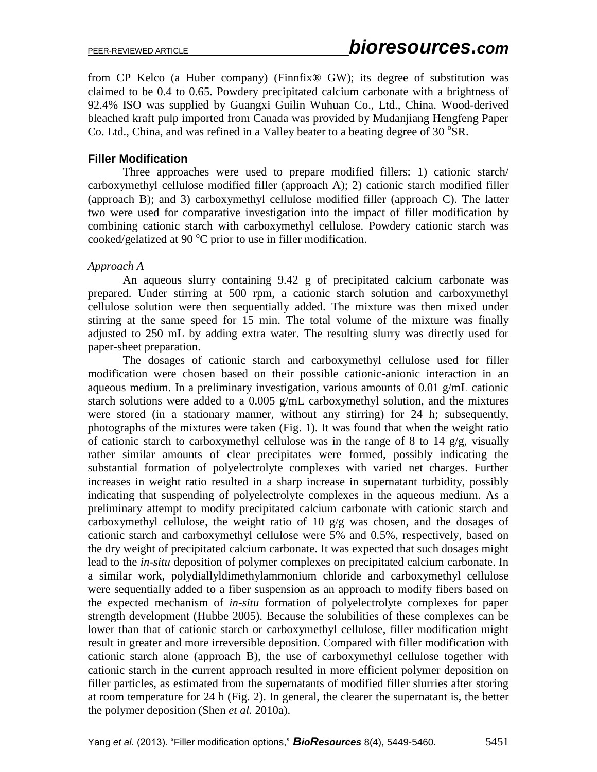from CP Kelco (a Huber company) (Finnfix® GW); its degree of substitution was claimed to be 0.4 to 0.65. Powdery precipitated calcium carbonate with a brightness of 92.4% ISO was supplied by Guangxi Guilin Wuhuan Co., Ltd., China. Wood-derived bleached kraft pulp imported from Canada was provided by Mudanjiang Hengfeng Paper Co. Ltd., China, and was refined in a Valley beater to a beating degree of 30  $\mathrm{^{\circ}SR}$ .

## **Filler Modification**

Three approaches were used to prepare modified fillers: 1) cationic starch/ carboxymethyl cellulose modified filler (approach A); 2) cationic starch modified filler (approach B); and 3) carboxymethyl cellulose modified filler (approach C). The latter two were used for comparative investigation into the impact of filler modification by combining cationic starch with carboxymethyl cellulose. Powdery cationic starch was cooked/gelatized at 90 $\mathrm{^{\circ}C}$  prior to use in filler modification.

#### *Approach A*

An aqueous slurry containing 9.42 g of precipitated calcium carbonate was prepared. Under stirring at 500 rpm, a cationic starch solution and carboxymethyl cellulose solution were then sequentially added. The mixture was then mixed under stirring at the same speed for 15 min. The total volume of the mixture was finally adjusted to 250 mL by adding extra water. The resulting slurry was directly used for paper-sheet preparation.

The dosages of cationic starch and carboxymethyl cellulose used for filler modification were chosen based on their possible cationic-anionic interaction in an aqueous medium. In a preliminary investigation, various amounts of 0.01 g/mL cationic starch solutions were added to a 0.005 g/mL carboxymethyl solution, and the mixtures were stored (in a stationary manner, without any stirring) for 24 h; subsequently, photographs of the mixtures were taken (Fig. 1). It was found that when the weight ratio of cationic starch to carboxymethyl cellulose was in the range of 8 to 14  $g/g$ , visually rather similar amounts of clear precipitates were formed, possibly indicating the substantial formation of polyelectrolyte complexes with varied net charges. Further increases in weight ratio resulted in a sharp increase in supernatant turbidity, possibly indicating that suspending of polyelectrolyte complexes in the aqueous medium. As a preliminary attempt to modify precipitated calcium carbonate with cationic starch and carboxymethyl cellulose, the weight ratio of 10  $g/g$  was chosen, and the dosages of cationic starch and carboxymethyl cellulose were 5% and 0.5%, respectively, based on the dry weight of precipitated calcium carbonate. It was expected that such dosages might lead to the *in-situ* deposition of polymer complexes on precipitated calcium carbonate. In a similar work, polydiallyldimethylammonium chloride and carboxymethyl cellulose were sequentially added to a fiber suspension as an approach to modify fibers based on the expected mechanism of *in-situ* formation of polyelectrolyte complexes for paper strength development (Hubbe 2005). Because the solubilities of these complexes can be lower than that of cationic starch or carboxymethyl cellulose, filler modification might result in greater and more irreversible deposition. Compared with filler modification with cationic starch alone (approach B), the use of carboxymethyl cellulose together with cationic starch in the current approach resulted in more efficient polymer deposition on filler particles, as estimated from the supernatants of modified filler slurries after storing at room temperature for 24 h (Fig. 2). In general, the clearer the supernatant is, the better the polymer deposition (Shen *et al.* 2010a).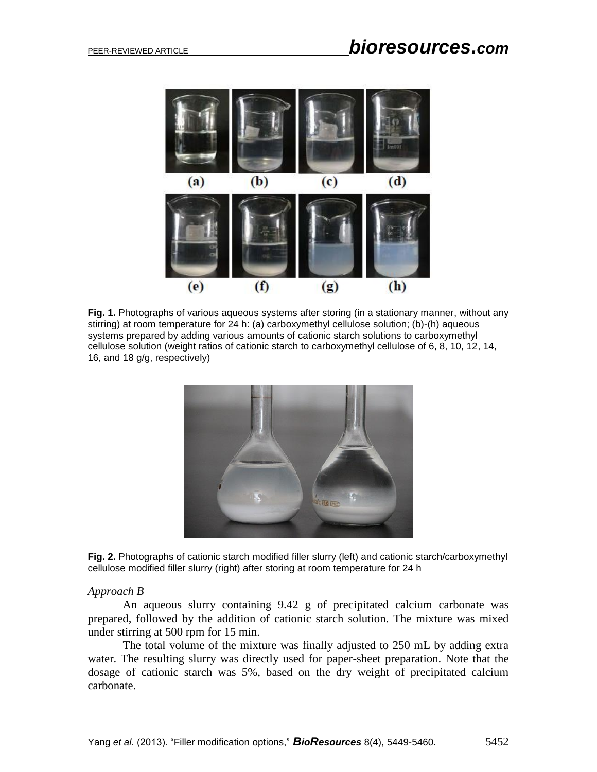

**Fig. 1.** Photographs of various aqueous systems after storing (in a stationary manner, without any stirring) at room temperature for 24 h: (a) carboxymethyl cellulose solution; (b)-(h) aqueous systems prepared by adding various amounts of cationic starch solutions to carboxymethyl cellulose solution (weight ratios of cationic starch to carboxymethyl cellulose of 6, 8, 10, 12, 14, 16, and 18 g/g, respectively)



**Fig. 2.** Photographs of cationic starch modified filler slurry (left) and cationic starch/carboxymethyl cellulose modified filler slurry (right) after storing at room temperature for 24 h

#### *Approach B*

An aqueous slurry containing 9.42 g of precipitated calcium carbonate was prepared, followed by the addition of cationic starch solution. The mixture was mixed under stirring at 500 rpm for 15 min.

The total volume of the mixture was finally adjusted to 250 mL by adding extra water. The resulting slurry was directly used for paper-sheet preparation. Note that the dosage of cationic starch was 5%, based on the dry weight of precipitated calcium carbonate.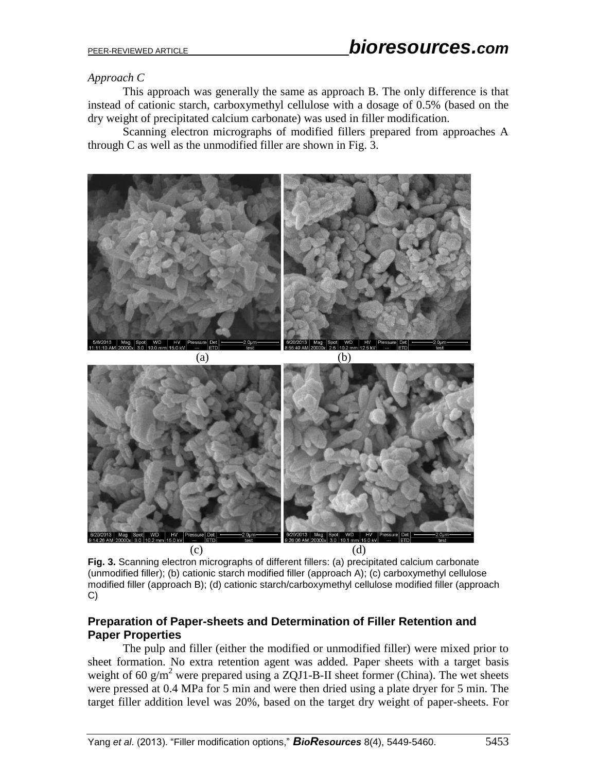# *Approach C*

This approach was generally the same as approach B. The only difference is that instead of cationic starch, carboxymethyl cellulose with a dosage of 0.5% (based on the dry weight of precipitated calcium carbonate) was used in filler modification.

Scanning electron micrographs of modified fillers prepared from approaches A through C as well as the unmodified filler are shown in Fig. 3.



**Fig. 3.** Scanning electron micrographs of different fillers: (a) precipitated calcium carbonate (unmodified filler); (b) cationic starch modified filler (approach A); (c) carboxymethyl cellulose modified filler (approach B); (d) cationic starch/carboxymethyl cellulose modified filler (approach C)

## **Preparation of Paper-sheets and Determination of Filler Retention and Paper Properties**

The pulp and filler (either the modified or unmodified filler) were mixed prior to sheet formation. No extra retention agent was added. Paper sheets with a target basis weight of 60  $g/m^2$  were prepared using a ZQJ1-B-II sheet former (China). The wet sheets were pressed at 0.4 MPa for 5 min and were then dried using a plate dryer for 5 min. The target filler addition level was 20%, based on the target dry weight of paper-sheets. For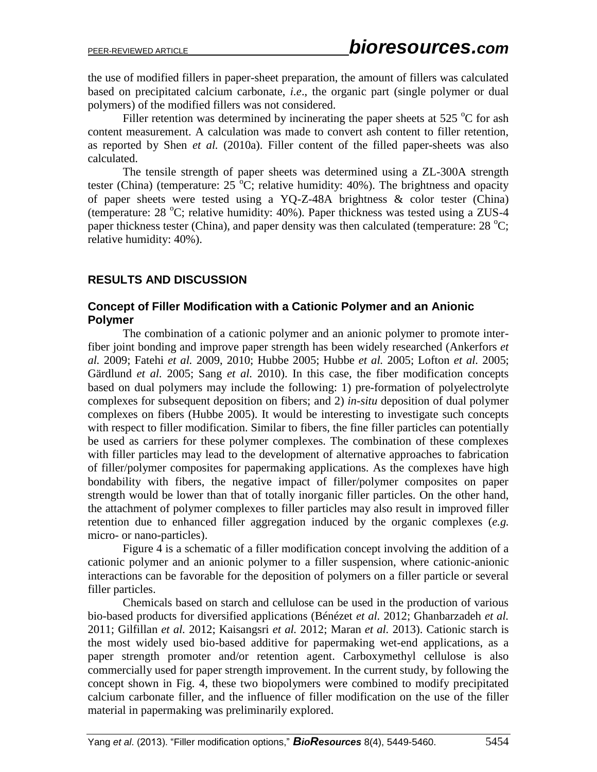the use of modified fillers in paper-sheet preparation, the amount of fillers was calculated based on precipitated calcium carbonate, *i.e*., the organic part (single polymer or dual polymers) of the modified fillers was not considered.

Filler retention was determined by incinerating the paper sheets at 525  $\degree$ C for ash content measurement. A calculation was made to convert ash content to filler retention, as reported by Shen *et al.* (2010a). Filler content of the filled paper-sheets was also calculated.

The tensile strength of paper sheets was determined using a ZL-300A strength tester (China) (temperature:  $25\,\text{°C}$ ; relative humidity: 40%). The brightness and opacity of paper sheets were tested using a YQ-Z-48A brightness & color tester (China) (temperature:  $28 \text{ °C}$ ; relative humidity:  $40\%$ ). Paper thickness was tested using a ZUS-4 paper thickness tester (China), and paper density was then calculated (temperature:  $28 \degree C$ ; relative humidity: 40%).

## **RESULTS AND DISCUSSION**

#### **Concept of Filler Modification with a Cationic Polymer and an Anionic Polymer**

The combination of a cationic polymer and an anionic polymer to promote interfiber joint bonding and improve paper strength has been widely researched (Ankerfors *et al.* 2009; Fatehi *et al.* 2009, 2010; Hubbe 2005; Hubbe *et al.* 2005; Lofton *et al.* 2005; Gärdlund *et al.* 2005; Sang *et al.* 2010). In this case, the fiber modification concepts based on dual polymers may include the following: 1) pre-formation of polyelectrolyte complexes for subsequent deposition on fibers; and 2) *in-situ* deposition of dual polymer complexes on fibers (Hubbe 2005). It would be interesting to investigate such concepts with respect to filler modification. Similar to fibers, the fine filler particles can potentially be used as carriers for these polymer complexes. The combination of these complexes with filler particles may lead to the development of alternative approaches to fabrication of filler/polymer composites for papermaking applications. As the complexes have high bondability with fibers, the negative impact of filler/polymer composites on paper strength would be lower than that of totally inorganic filler particles. On the other hand, the attachment of polymer complexes to filler particles may also result in improved filler retention due to enhanced filler aggregation induced by the organic complexes (*e.g.*  micro- or nano-particles).

Figure 4 is a schematic of a filler modification concept involving the addition of a cationic polymer and an anionic polymer to a filler suspension, where cationic-anionic interactions can be favorable for the deposition of polymers on a filler particle or several filler particles.

Chemicals based on starch and cellulose can be used in the production of various bio-based products for diversified applications (Bénézet *et al.* 2012; Ghanbarzadeh *et al.*  2011; Gilfillan *et al.* 2012; Kaisangsri *et al.* 2012; Maran *et al.* 2013). Cationic starch is the most widely used bio-based additive for papermaking wet-end applications, as a paper strength promoter and/or retention agent. Carboxymethyl cellulose is also commercially used for paper strength improvement. In the current study, by following the concept shown in Fig. 4, these two biopolymers were combined to modify precipitated calcium carbonate filler, and the influence of filler modification on the use of the filler material in papermaking was preliminarily explored.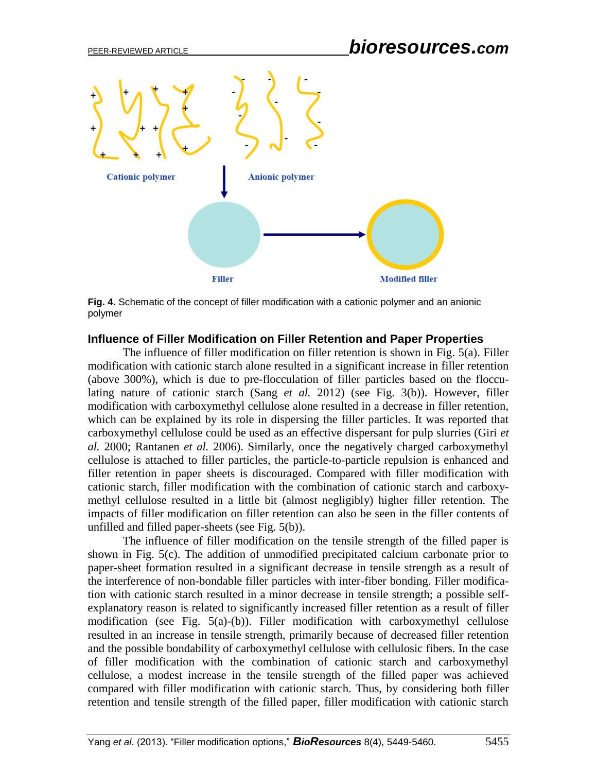

**Fig. 4.** Schematic of the concept of filler modification with a cationic polymer and an anionic polymer

#### **Influence of Filler Modification on Filler Retention and Paper Properties**

The influence of filler modification on filler retention is shown in Fig. 5(a). Filler modification with cationic starch alone resulted in a significant increase in filler retention (above 300%), which is due to pre-flocculation of filler particles based on the flocculating nature of cationic starch (Sang *et al.* 2012) (see Fig. 3(b)). However, filler modification with carboxymethyl cellulose alone resulted in a decrease in filler retention, which can be explained by its role in dispersing the filler particles. It was reported that carboxymethyl cellulose could be used as an effective dispersant for pulp slurries (Giri *et al.* 2000; Rantanen *et al.* 2006). Similarly, once the negatively charged carboxymethyl cellulose is attached to filler particles, the particle-to-particle repulsion is enhanced and filler retention in paper sheets is discouraged. Compared with filler modification with cationic starch, filler modification with the combination of cationic starch and carboxymethyl cellulose resulted in a little bit (almost negligibly) higher filler retention. The impacts of filler modification on filler retention can also be seen in the filler contents of unfilled and filled paper-sheets (see Fig. 5(b)).

The influence of filler modification on the tensile strength of the filled paper is shown in Fig. 5(c). The addition of unmodified precipitated calcium carbonate prior to paper-sheet formation resulted in a significant decrease in tensile strength as a result of the interference of non-bondable filler particles with inter-fiber bonding. Filler modification with cationic starch resulted in a minor decrease in tensile strength; a possible selfexplanatory reason is related to significantly increased filler retention as a result of filler modification (see Fig. 5(a)-(b)). Filler modification with carboxymethyl cellulose resulted in an increase in tensile strength, primarily because of decreased filler retention and the possible bondability of carboxymethyl cellulose with cellulosic fibers. In the case of filler modification with the combination of cationic starch and carboxymethyl cellulose, a modest increase in the tensile strength of the filled paper was achieved compared with filler modification with cationic starch. Thus, by considering both filler retention and tensile strength of the filled paper, filler modification with cationic starch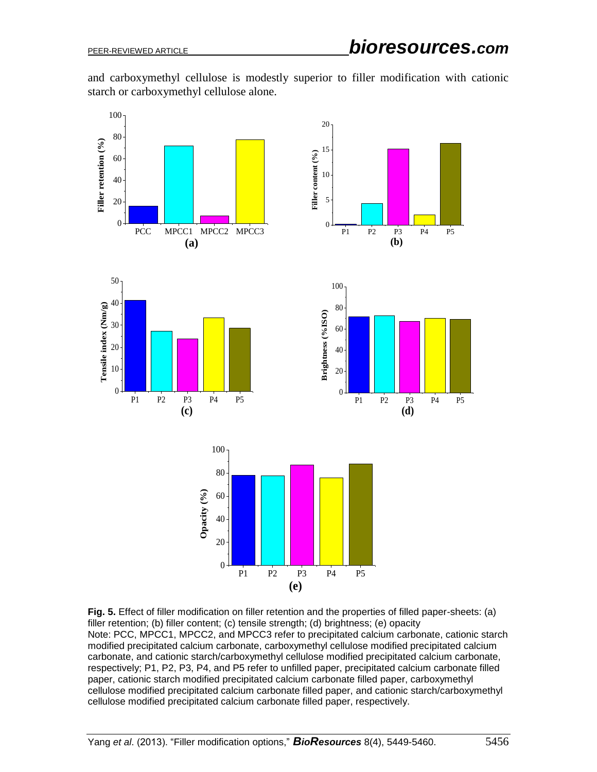and carboxymethyl cellulose is modestly superior to filler modification with cationic starch or carboxymethyl cellulose alone.



**Fig. 5.** Effect of filler modification on filler retention and the properties of filled paper-sheets: (a) filler retention; (b) filler content; (c) tensile strength; (d) brightness; (e) opacity Note: PCC, MPCC1, MPCC2, and MPCC3 refer to precipitated calcium carbonate, cationic starch modified precipitated calcium carbonate, carboxymethyl cellulose modified precipitated calcium carbonate, and cationic starch/carboxymethyl cellulose modified precipitated calcium carbonate, respectively; P1, P2, P3, P4, and P5 refer to unfilled paper, precipitated calcium carbonate filled paper, cationic starch modified precipitated calcium carbonate filled paper, carboxymethyl cellulose modified precipitated calcium carbonate filled paper, and cationic starch/carboxymethyl cellulose modified precipitated calcium carbonate filled paper, respectively.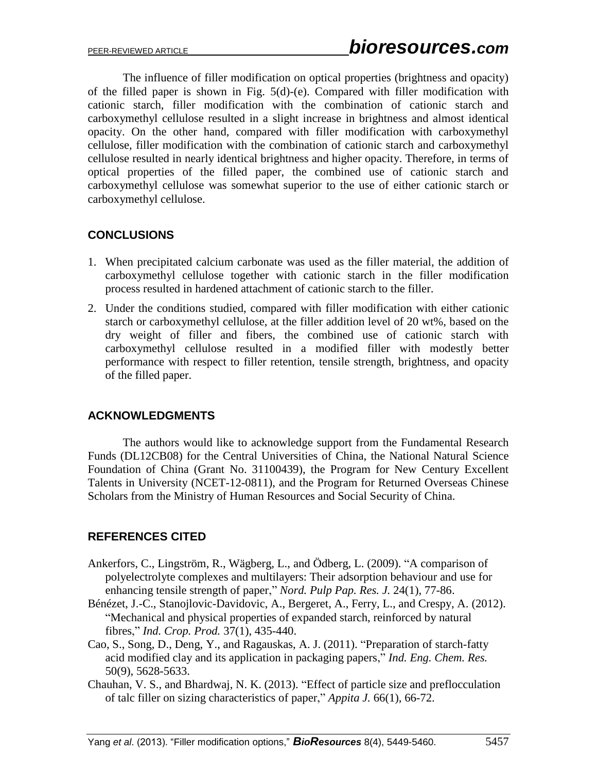The influence of filler modification on optical properties (brightness and opacity) of the filled paper is shown in Fig. 5(d)-(e). Compared with filler modification with cationic starch, filler modification with the combination of cationic starch and carboxymethyl cellulose resulted in a slight increase in brightness and almost identical opacity. On the other hand, compared with filler modification with carboxymethyl cellulose, filler modification with the combination of cationic starch and carboxymethyl cellulose resulted in nearly identical brightness and higher opacity. Therefore, in terms of optical properties of the filled paper, the combined use of cationic starch and carboxymethyl cellulose was somewhat superior to the use of either cationic starch or carboxymethyl cellulose.

# **CONCLUSIONS**

- 1. When precipitated calcium carbonate was used as the filler material, the addition of carboxymethyl cellulose together with cationic starch in the filler modification process resulted in hardened attachment of cationic starch to the filler.
- 2. Under the conditions studied, compared with filler modification with either cationic starch or carboxymethyl cellulose, at the filler addition level of 20 wt%, based on the dry weight of filler and fibers, the combined use of cationic starch with carboxymethyl cellulose resulted in a modified filler with modestly better performance with respect to filler retention, tensile strength, brightness, and opacity of the filled paper.

# **ACKNOWLEDGMENTS**

The authors would like to acknowledge support from the Fundamental Research Funds (DL12CB08) for the Central Universities of China, the National Natural Science Foundation of China (Grant No. 31100439), the Program for New Century Excellent Talents in University (NCET-12-0811), and the Program for Returned Overseas Chinese Scholars from the Ministry of Human Resources and Social Security of China.

# **REFERENCES CITED**

- Ankerfors, C., Lingström, R., Wägberg, L., and Ödberg, L. (2009). "A comparison of polyelectrolyte complexes and multilayers: Their adsorption behaviour and use for enhancing tensile strength of paper," *Nord. Pulp Pap. Res. J.* 24(1), 77-86.
- Bénézet, J.-C., Stanojlovic-Davidovic, A., Bergeret, A., Ferry, L., and Crespy, A. (2012). "Mechanical and physical properties of expanded starch, reinforced by natural fibres," *Ind. Crop. Prod.* 37(1), 435-440.
- Cao, S., Song, D., Deng, Y., and Ragauskas, A. J. (2011). "Preparation of starch-fatty acid modified clay and its application in packaging papers," *Ind. Eng. Chem. Res.*  50(9), 5628-5633.
- Chauhan, V. S., and Bhardwaj, N. K. (2013). "Effect of particle size and preflocculation of talc filler on sizing characteristics of paper," *Appita J.* 66(1), 66-72.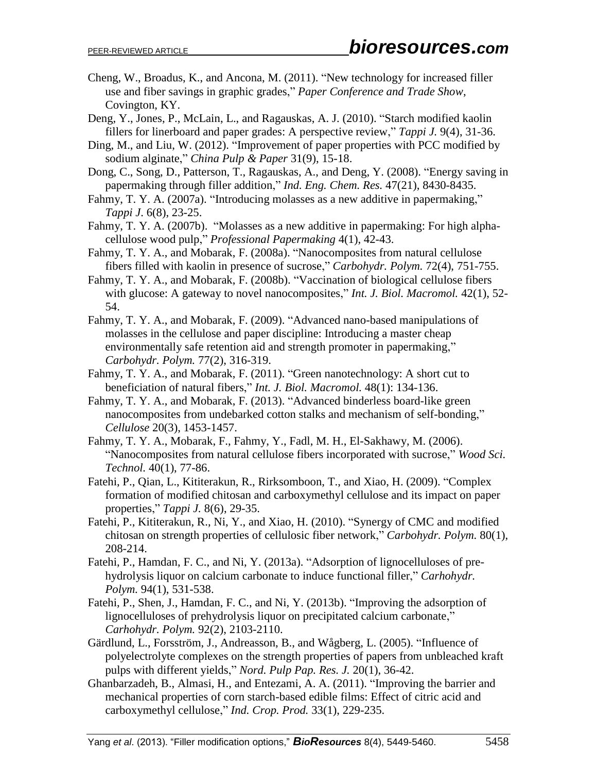- Cheng, W., Broadus, K., and Ancona, M. (2011). "New technology for increased filler use and fiber savings in graphic grades," *Paper Conference and Trade Show*, Covington, KY.
- Deng, Y., Jones, P., McLain, L., and Ragauskas, A. J. (2010). "Starch modified kaolin fillers for linerboard and paper grades: A perspective review," *Tappi J.* 9(4), 31-36.
- Ding, M., and Liu, W. (2012). "Improvement of paper properties with PCC modified by sodium alginate," *China Pulp & Paper* 31(9), 15-18.
- Dong, C., Song, D., Patterson, T., Ragauskas, A., and Deng, Y. (2008). "Energy saving in papermaking through filler addition," *Ind. Eng. Chem. Res.* 47(21), 8430-8435.
- Fahmy, T. Y. A. (2007a). "Introducing molasses as a new additive in papermaking," *Tappi J*. 6(8), 23-25.
- Fahmy, T. Y. A. (2007b). "Molasses as a new additive in papermaking: For high alphacellulose wood pulp," *Professional Papermaking* 4(1), 42-43.
- Fahmy, T. Y. A., and Mobarak, F. (2008a). "Nanocomposites from natural cellulose fibers filled with kaolin in presence of sucrose," *Carbohydr. Polym.* 72(4), 751-755.
- Fahmy, T. Y. A., and Mobarak, F. (2008b). "Vaccination of biological cellulose fibers with glucose: A gateway to novel nanocomposites," *Int. J. Biol. Macromol.* 42(1), 52- 54.
- Fahmy, T. Y. A., and Mobarak, F. (2009). "Advanced nano-based manipulations of molasses in the cellulose and paper discipline: Introducing a master cheap environmentally safe retention aid and strength promoter in papermaking," *Carbohydr. Polym.* 77(2), 316-319.
- Fahmy, T. Y. A., and Mobarak, F. (2011). "Green nanotechnology: A short cut to beneficiation of natural fibers," *Int. J. Biol. Macromol.* 48(1): 134-136.
- Fahmy, T. Y. A., and Mobarak, F. (2013). "Advanced binderless board-like green nanocomposites from undebarked cotton stalks and mechanism of self-bonding," *Cellulose* 20(3), 1453-1457.
- Fahmy, T. Y. A., Mobarak, F., Fahmy, Y., Fadl, M. H., El-Sakhawy, M. (2006). "Nanocomposites from natural cellulose fibers incorporated with sucrose," *Wood Sci. Technol.* 40(1), 77-86.
- Fatehi, P., Qian, L., Kititerakun, R., Rirksomboon, T., and Xiao, H. (2009). "Complex formation of modified chitosan and carboxymethyl cellulose and its impact on paper properties," *Tappi J.* 8(6), 29-35.
- Fatehi, P., Kititerakun, R., Ni, Y., and Xiao, H. (2010). "Synergy of CMC and modified chitosan on strength properties of cellulosic fiber network," *Carbohydr. Polym.* 80(1), 208-214.
- Fatehi, P., Hamdan, F. C., and Ni, Y. (2013a). "Adsorption of lignocelluloses of prehydrolysis liquor on calcium carbonate to induce functional filler," *Carhohydr. Polym.* 94(1), 531-538.
- Fatehi, P., Shen, J., Hamdan, F. C., and Ni, Y. (2013b). "Improving the adsorption of lignocelluloses of prehydrolysis liquor on precipitated calcium carbonate," *Carhohydr. Polym.* 92(2), 2103-2110.
- Gärdlund, L., Forsström, J., Andreasson, B., and Wågberg, L. (2005). "Influence of polyelectrolyte complexes on the strength properties of papers from unbleached kraft pulps with different yields," *Nord. Pulp Pap. Res. J.* 20(1), 36-42.
- Ghanbarzadeh, B., Almasi, H., and Entezami, A. A. (2011). "Improving the barrier and mechanical properties of corn starch-based edible films: Effect of citric acid and carboxymethyl cellulose," *Ind. Crop. Prod.* 33(1), 229-235.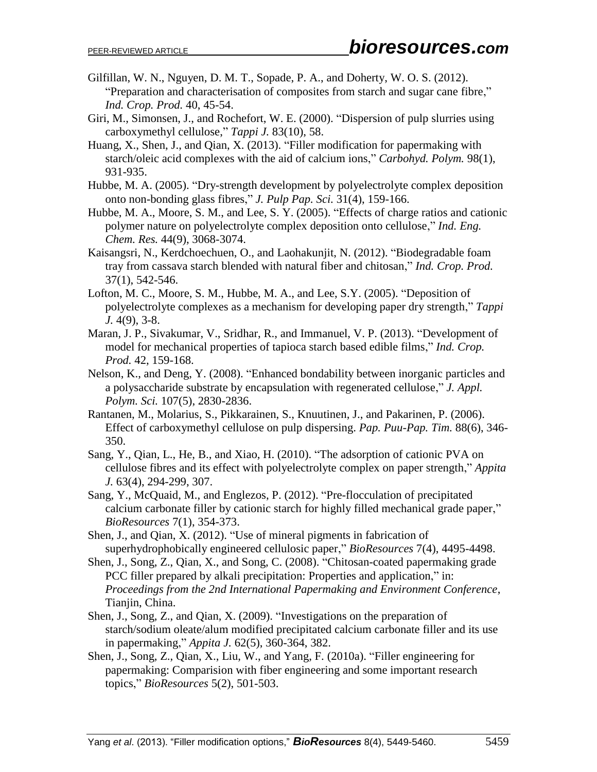- Gilfillan, W. N., Nguyen, D. M. T., Sopade, P. A., and Doherty, W. O. S. (2012). "Preparation and characterisation of composites from starch and sugar cane fibre," *Ind. Crop. Prod.* 40, 45-54.
- Giri, M., Simonsen, J., and Rochefort, W. E. (2000). "Dispersion of pulp slurries using carboxymethyl cellulose," *Tappi J.* 83(10), 58.
- Huang, X., Shen, J., and Qian, X. (2013). "Filler modification for papermaking with starch/oleic acid complexes with the aid of calcium ions," *Carbohyd. Polym.* 98(1), 931-935.
- Hubbe, M. A. (2005). "Dry-strength development by polyelectrolyte complex deposition onto non-bonding glass fibres," *J. Pulp Pap. Sci.* 31(4), 159-166.
- Hubbe, M. A., Moore, S. M., and Lee, S. Y. (2005). "Effects of charge ratios and cationic polymer nature on polyelectrolyte complex deposition onto cellulose," *Ind. Eng. Chem. Res.* 44(9), 3068-3074.
- Kaisangsri, N., Kerdchoechuen, O., and Laohakunjit, N. (2012). "Biodegradable foam tray from cassava starch blended with natural fiber and chitosan," *Ind. Crop. Prod.* 37(1), 542-546.
- Lofton, M. C., Moore, S. M., Hubbe, M. A., and Lee, S.Y. (2005). "Deposition of polyelectrolyte complexes as a mechanism for developing paper dry strength," *Tappi J.* 4(9), 3-8.
- Maran, J. P., Sivakumar, V., Sridhar, R., and Immanuel, V. P. (2013). "Development of model for mechanical properties of tapioca starch based edible films," *Ind. Crop. Prod.* 42, 159-168.
- Nelson, K., and Deng, Y. (2008). "Enhanced bondability between inorganic particles and a polysaccharide substrate by encapsulation with regenerated cellulose," *J. Appl. Polym. Sci.* 107(5), 2830-2836.
- Rantanen, M., Molarius, S., Pikkarainen, S., Knuutinen, J., and Pakarinen, P. (2006). Effect of carboxymethyl cellulose on pulp dispersing. *Pap. Puu-Pap. Tim.* 88(6), 346- 350.
- Sang, Y., Qian, L., He, B., and Xiao, H. (2010). "The adsorption of cationic PVA on cellulose fibres and its effect with polyelectrolyte complex on paper strength," *Appita J.* 63(4), 294-299, 307.
- Sang, Y., McQuaid, M., and Englezos, P. (2012). "Pre-flocculation of precipitated calcium carbonate filler by cationic starch for highly filled mechanical grade paper," *BioResources* 7(1), 354-373.
- Shen, J., and Qian, X. (2012). "Use of mineral pigments in fabrication of superhydrophobically engineered cellulosic paper," *BioResources* 7(4), 4495-4498.
- Shen, J., Song, Z., Qian, X., and Song, C. (2008). "Chitosan-coated papermaking grade PCC filler prepared by alkali precipitation: Properties and application," in: *Proceedings from the 2nd International Papermaking and Environment Conference*, Tianjin, China.
- Shen, J., Song, Z., and Qian, X. (2009). "Investigations on the preparation of starch/sodium oleate/alum modified precipitated calcium carbonate filler and its use in papermaking," *Appita J.* 62(5), 360-364, 382.
- Shen, J., Song, Z., Qian, X., Liu, W., and Yang, F. (2010a). "Filler engineering for papermaking: Comparision with fiber engineering and some important research topics," *BioResources* 5(2), 501-503.